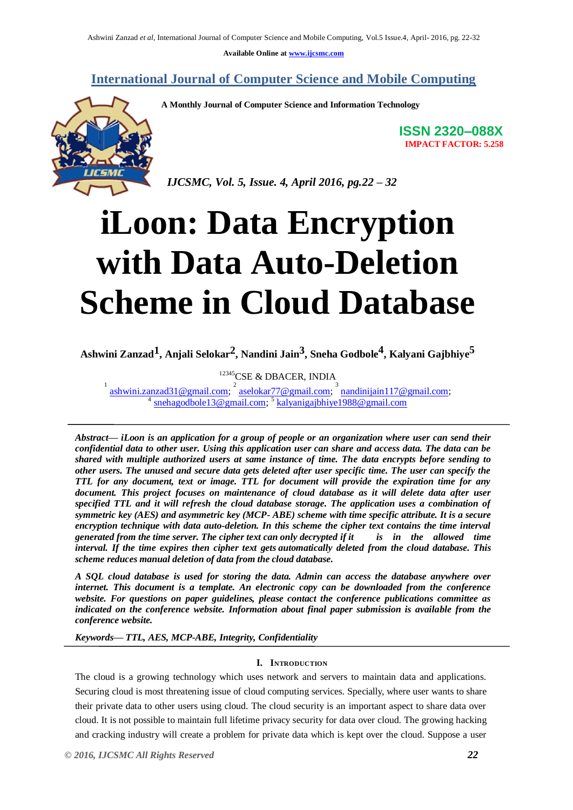**Available Online at www.ijcsmc.com**

**International Journal of Computer Science and Mobile Computing**



**A Monthly Journal of Computer Science and Information Technology**

**ISSN 2320–088X IMPACT FACTOR: 5.258**

 *IJCSMC, Vol. 5, Issue. 4, April 2016, pg.22 – 32*

# **iLoon: Data Encryption with Data Auto-Deletion Scheme in Cloud Database**

**Ashwini Zanzad1, Anjali Selokar2, Nandini Jain3, Sneha Godbole4 , Kalyani Gajbhiye5**

<sup>12345</sup>CSE & DBACER, INDIA

1 ashwini.zanzad31@gmail.com; <sup>2</sup> aselokar77@gmail.com; <sup>3</sup> nandinijain117@gmail.com;<br><sup>4</sup> anabagashela13@gmail.com; <sup>5</sup> kalvanigaibhiya1088@gmail.com; snehagodbole13@gmail.com; <sup>5</sup> kalyanigajbhiye1988@gmail.com

*Abstract— iLoon is an application for a group of people or an organization where user can send their confidential data to other user. Using this application user can share and access data. The data can be shared with multiple authorized users at same instance of time. The data encrypts before sending to other users. The unused and secure data gets deleted after user specific time. The user can specify the TTL for any document, text or image. TTL for document will provide the expiration time for any document. This project focuses on maintenance of cloud database as it will delete data after user specified TTL and it will refresh the cloud database storage. The application uses a combination of symmetric key (AES) and asymmetric key (MCP- ABE) scheme with time specific attribute. It is a secure encryption technique with data auto-deletion. In this scheme the cipher text contains the time interval generated from the time server. The cipher text can only decrypted if it is in the allowed time interval. If the time expires then cipher text gets automatically deleted from the cloud database. This scheme reduces manual deletion of data from the cloud database.*

*A SQL cloud database is used for storing the data. Admin can access the database anywhere over internet. This document is a template. An electronic copy can be downloaded from the conference website. For questions on paper guidelines, please contact the conference publications committee as indicated on the conference website. Information about final paper submission is available from the conference website.* 

*Keywords— TTL, AES, MCP-ABE, Integrity, Confidentiality*

# **I. INTRODUCTION**

The cloud is a growing technology which uses network and servers to maintain data and applications. Securing cloud is most threatening issue of cloud computing services. Specially, where user wants to share their private data to other users using cloud. The cloud security is an important aspect to share data over cloud. It is not possible to maintain full lifetime privacy security for data over cloud. The growing hacking and cracking industry will create a problem for private data which is kept over the cloud. Suppose a user

*© 2016, IJCSMC All Rights Reserved 22*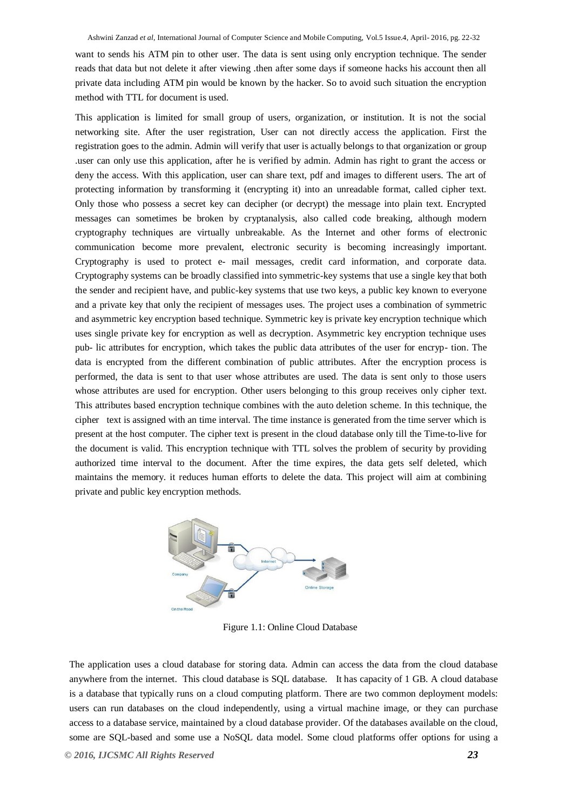want to sends his ATM pin to other user. The data is sent using only encryption technique. The sender reads that data but not delete it after viewing .then after some days if someone hacks his account then all private data including ATM pin would be known by the hacker. So to avoid such situation the encryption method with TTL for document is used.

This application is limited for small group of users, organization, or institution. It is not the social networking site. After the user registration, User can not directly access the application. First the registration goes to the admin. Admin will verify that user is actually belongs to that organization or group .user can only use this application, after he is verified by admin. Admin has right to grant the access or deny the access. With this application, user can share text, pdf and images to different users. The art of protecting information by transforming it (encrypting it) into an unreadable format, called cipher text. Only those who possess a secret key can decipher (or decrypt) the message into plain text. Encrypted messages can sometimes be broken by cryptanalysis, also called code breaking, although modern cryptography techniques are virtually unbreakable. As the Internet and other forms of electronic communication become more prevalent, electronic security is becoming increasingly important. Cryptography is used to protect e- mail messages, credit card information, and corporate data. Cryptography systems can be broadly classified into symmetric-key systems that use a single key that both the sender and recipient have, and public-key systems that use two keys, a public key known to everyone and a private key that only the recipient of messages uses. The project uses a combination of symmetric and asymmetric key encryption based technique. Symmetric key is private key encryption technique which uses single private key for encryption as well as decryption. Asymmetric key encryption technique uses pub- lic attributes for encryption, which takes the public data attributes of the user for encryp- tion. The data is encrypted from the different combination of public attributes. After the encryption process is performed, the data is sent to that user whose attributes are used. The data is sent only to those users whose attributes are used for encryption. Other users belonging to this group receives only cipher text. This attributes based encryption technique combines with the auto deletion scheme. In this technique, the cipher text is assigned with an time interval. The time instance is generated from the time server which is present at the host computer. The cipher text is present in the cloud database only till the Time-to-live for the document is valid. This encryption technique with TTL solves the problem of security by providing authorized time interval to the document. After the time expires, the data gets self deleted, which maintains the memory. it reduces human efforts to delete the data. This project will aim at combining private and public key encryption methods.



Figure 1.1: Online Cloud Database

The application uses a cloud database for storing data. Admin can access the data from the cloud database anywhere from the internet. This cloud database is SQL database. It has capacity of 1 GB. A cloud database is a database that typically runs on a cloud computing platform. There are two common deployment models: users can run databases on the cloud independently, using a virtual machine image, or they can purchase access to a database service, maintained by a cloud database provider. Of the databases available on the cloud, some are SQL-based and some use a NoSQL data model. Some cloud platforms offer options for using a

*© 2016, IJCSMC All Rights Reserved 23*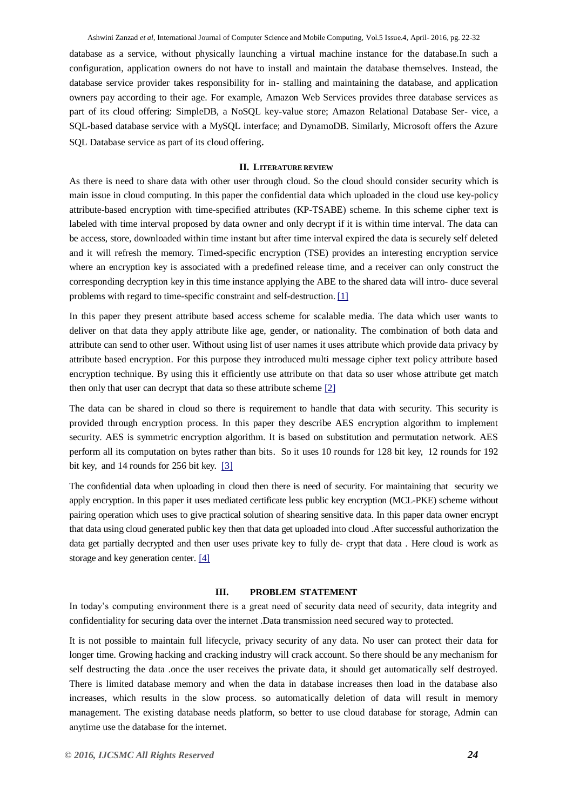database as a service, without physically launching a virtual machine instance for the database.In such a configuration, application owners do not have to install and maintain the database themselves. Instead, the database service provider takes responsibility for in- stalling and maintaining the database, and application owners pay according to their age. For example, Amazon Web Services provides three database services as part of its cloud offering: SimpleDB, a NoSQL key-value store; Amazon Relational Database Ser- vice, a SQL-based database service with a MySQL interface; and DynamoDB. Similarly, Microsoft offers the Azure SQL Database service as part of its cloud offering.

### <span id="page-2-0"></span>**II. LITERATURE REVIEW**

As there is need to share data with other user through cloud. So the cloud should consider security which is main issue in cloud computing. In this paper the confidential data which uploaded in the cloud use key-policy attribute-based encryption with time-specified attributes (KP-TSABE) scheme. In this scheme cipher text is labeled with time interval proposed by data owner and only decrypt if it is within time interval. The data can be access, store, downloaded within time instant but after time interval expired the data is securely self deleted and it will refresh the memory. Timed-specific encryption (TSE) provides an interesting encryption service where an encryption key is associated with a predefined release time, and a receiver can only construct the corresponding decryption key in this time instance applying the ABE to the shared data will intro- duce several problems with regard to time-specific constraint and self-destruction. [\[1\]](#page-2-0)

In this paper they present attribute based access scheme for scalable media. The data which user wants to deliver on that data they apply attribute like age, gender, or nationality. The combination of both data and attribute can send to other user. Without using list of user names it uses attribute which provide data privacy by attribute based encryption. For this purpose they introduced multi message cipher text policy attribute based encryption technique. By using this it efficiently use attribute on that data so user whose attribute get match then only that user can decrypt that data so these attribute scheme [\[2\]](#page-2-1)

The data can be shared in cloud so there is requirement to handle that data with security. This security is provided through encryption process. In this paper they describe AES encryption algorithm to implement security. AES is symmetric encryption algorithm. It is based on substitution and permutation network. AES perform all its computation on bytes rather than bits. So it uses 10 rounds for 128 bit key, 12 rounds for 192 bit key, and 14 rounds for 256 bit key. [\[3\]](#page-2-2)

The confidential data when uploading in cloud then there is need of security. For maintaining that security we apply encryption. In this paper it uses mediated certificate less public key encryption (MCL-PKE) scheme without pairing operation which uses to give practical solution of shearing sensitive data. In this paper data owner encrypt that data using cloud generated public key then that data get uploaded into cloud .After successful authorization the data get partially decrypted and then user uses private key to fully de- crypt that data . Here cloud is work as storage and key generation center. [\[4\]](#page-2-3)

## <span id="page-2-2"></span><span id="page-2-1"></span>**III. PROBLEM STATEMENT**

<span id="page-2-3"></span>In today's computing environment there is a great need of security data need of security, data integrity and confidentiality for securing data over the internet .Data transmission need secured way to protected.

It is not possible to maintain full lifecycle, privacy security of any data. No user can protect their data for longer time. Growing hacking and cracking industry will crack account. So there should be any mechanism for self destructing the data .once the user receives the private data, it should get automatically self destroyed. There is limited database memory and when the data in database increases then load in the database also increases, which results in the slow process. so automatically deletion of data will result in memory management. The existing database needs platform, so better to use cloud database for storage, Admin can anytime use the database for the internet.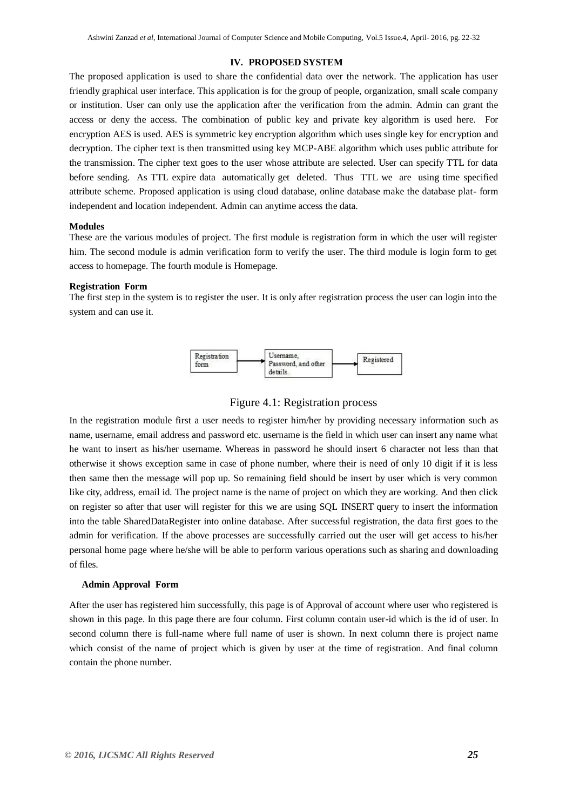## **IV. PROPOSED SYSTEM**

The proposed application is used to share the confidential data over the network. The application has user friendly graphical user interface. This application is for the group of people, organization, small scale company or institution. User can only use the application after the verification from the admin. Admin can grant the access or deny the access. The combination of public key and private key algorithm is used here. For encryption AES is used. AES is symmetric key encryption algorithm which uses single key for encryption and decryption. The cipher text is then transmitted using key MCP-ABE algorithm which uses public attribute for the transmission. The cipher text goes to the user whose attribute are selected. User can specify TTL for data before sending. As TTL expire data automatically get deleted. Thus TTL we are using time specified attribute scheme. Proposed application is using cloud database, online database make the database plat- form independent and location independent. Admin can anytime access the data.

#### **Modules**

These are the various modules of project. The first module is registration form in which the user will register him. The second module is admin verification form to verify the user. The third module is login form to get access to homepage. The fourth module is Homepage.

#### **Registration Form**

The first step in the system is to register the user. It is only after registration process the user can login into the system and can use it.



Figure 4.1: Registration process

In the registration module first a user needs to register him/her by providing necessary information such as name, username, email address and password etc. username is the field in which user can insert any name what he want to insert as his/her username. Whereas in password he should insert 6 character not less than that otherwise it shows exception same in case of phone number, where their is need of only 10 digit if it is less then same then the message will pop up. So remaining field should be insert by user which is very common like city, address, email id. The project name is the name of project on which they are working. And then click on register so after that user will register for this we are using SQL INSERT query to insert the information into the table SharedDataRegister into online database. After successful registration, the data first goes to the admin for verification. If the above processes are successfully carried out the user will get access to his/her personal home page where he/she will be able to perform various operations such as sharing and downloading of files.

#### **Admin Approval Form**

After the user has registered him successfully, this page is of Approval of account where user who registered is shown in this page. In this page there are four column. First column contain user-id which is the id of user. In second column there is full-name where full name of user is shown. In next column there is project name which consist of the name of project which is given by user at the time of registration. And final column contain the phone number.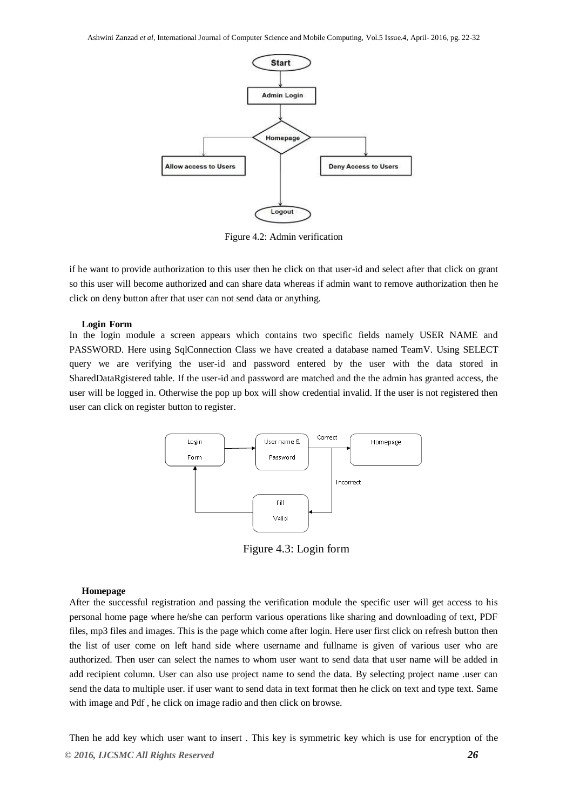

Figure 4.2: Admin verification

if he want to provide authorization to this user then he click on that user-id and select after that click on grant so this user will become authorized and can share data whereas if admin want to remove authorization then he click on deny button after that user can not send data or anything.

#### **Login Form**

In the login module a screen appears which contains two specific fields namely USER NAME and PASSWORD. Here using SqlConnection Class we have created a database named TeamV. Using SELECT query we are verifying the user-id and password entered by the user with the data stored in SharedDataRgistered table. If the user-id and password are matched and the the admin has granted access, the user will be logged in. Otherwise the pop up box will show credential invalid. If the user is not registered then user can click on register button to register.



Figure 4.3: Login form

#### **Homepage**

After the successful registration and passing the verification module the specific user will get access to his personal home page where he/she can perform various operations like sharing and downloading of text, PDF files, mp3 files and images. This is the page which come after login. Here user first click on refresh button then the list of user come on left hand side where username and fullname is given of various user who are authorized. Then user can select the names to whom user want to send data that user name will be added in add recipient column. User can also use project name to send the data. By selecting project name .user can send the data to multiple user. if user want to send data in text format then he click on text and type text. Same with image and Pdf , he click on image radio and then click on browse.

*© 2016, IJCSMC All Rights Reserved 26* Then he add key which user want to insert . This key is symmetric key which is use for encryption of the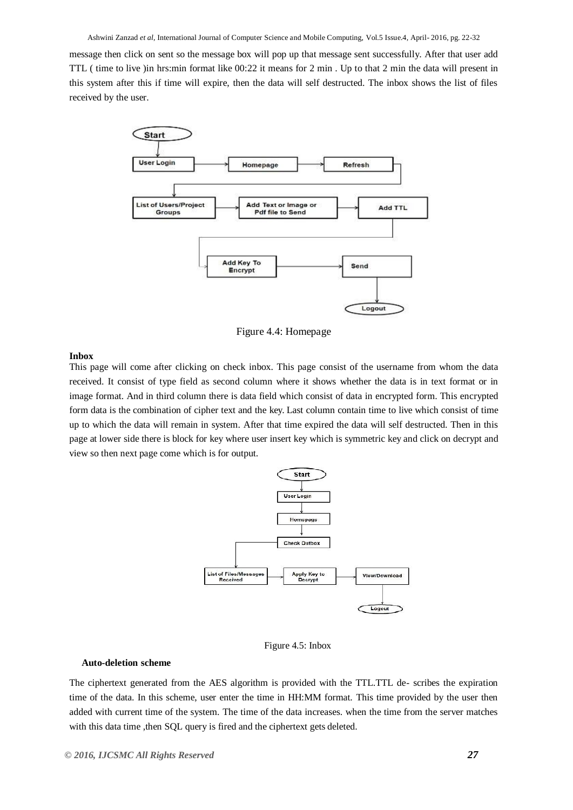message then click on sent so the message box will pop up that message sent successfully. After that user add TTL ( time to live )in hrs:min format like 00:22 it means for 2 min . Up to that 2 min the data will present in this system after this if time will expire, then the data will self destructed. The inbox shows the list of files received by the user.



Figure 4.4: Homepage

#### **Inbox**

This page will come after clicking on check inbox. This page consist of the username from whom the data received. It consist of type field as second column where it shows whether the data is in text format or in image format. And in third column there is data field which consist of data in encrypted form. This encrypted form data is the combination of cipher text and the key. Last column contain time to live which consist of time up to which the data will remain in system. After that time expired the data will self destructed. Then in this page at lower side there is block for key where user insert key which is symmetric key and click on decrypt and view so then next page come which is for output.



Figure 4.5: Inbox

#### **Auto-deletion scheme**

The ciphertext generated from the AES algorithm is provided with the TTL.TTL de- scribes the expiration time of the data. In this scheme, user enter the time in HH:MM format. This time provided by the user then added with current time of the system. The time of the data increases. when the time from the server matches with this data time , then SQL query is fired and the ciphertext gets deleted.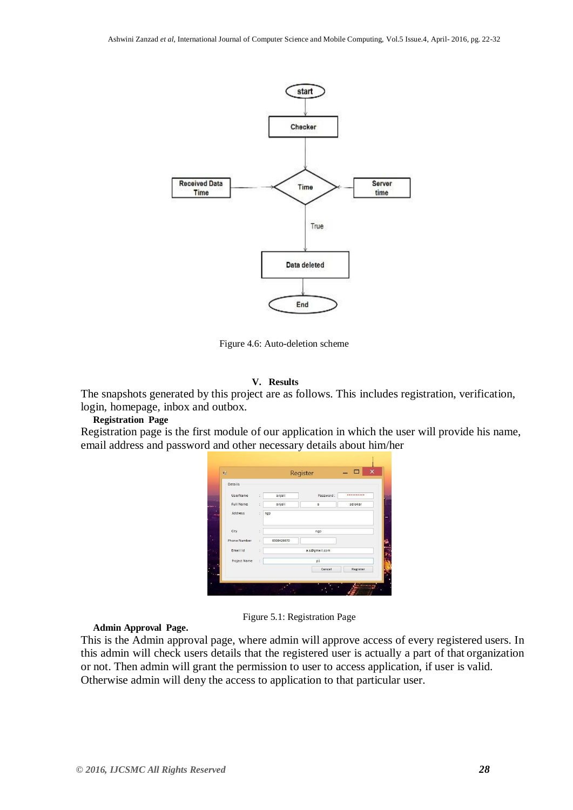

Figure 4.6: Auto-deletion scheme

# **V. Results**

The snapshots generated by this project are as follows. This includes registration, verification, login, homepage, inbox and outbox.

# **Registration Page**

Registration page is the first module of our application in which the user will provide his name, email address and password and other necessary details about him/her

| Details          |                      |               |          |
|------------------|----------------------|---------------|----------|
| UserName         | anjali<br>¢,         | Password:     |          |
| <b>Full Name</b> | anjali<br>ċ.         | a             | selokar  |
| Address          | ngp<br>ŧ             |               |          |
| City             | ÷                    | ngp           |          |
| Phone Number     | 8308426670<br>ċ      |               |          |
| Email Id         | $\ddot{\phantom{a}}$ | a.s@gmail.com |          |
| Project Name     | t                    | p1            |          |
|                  |                      | Cancel        | Register |

Figure 5.1: Registration Page

**Admin Approval Page.**

This is the Admin approval page, where admin will approve access of every registered users. In this admin will check users details that the registered user is actually a part of that organization or not. Then admin will grant the permission to user to access application, if user is valid. Otherwise admin will deny the access to application to that particular user.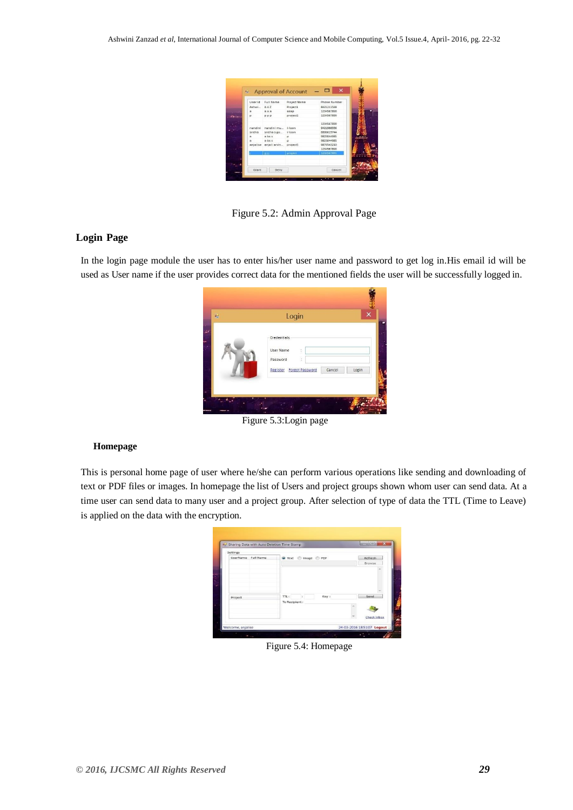| AAZ<br>Project1<br>R421211548<br>1234567890<br>asap<br>000<br>1234567890<br>project1<br><b>PPP</b><br>1234567890<br>nandini mu<br>9421966336<br>$i$ -loon<br>8806619744<br>sneha s go<br>$i$ -loon<br>9823044985<br>a bs s<br>p<br>9823044985<br>$a$ bs $s$<br>o<br>anjali arvin<br>project5<br>9876543210<br>1234567890<br><b>HILL</b> | Ashwi<br>$\overline{\phantom{a}}$<br>$\circ$ |
|-----------------------------------------------------------------------------------------------------------------------------------------------------------------------------------------------------------------------------------------------------------------------------------------------------------------------------------------|----------------------------------------------|
|                                                                                                                                                                                                                                                                                                                                         |                                              |
|                                                                                                                                                                                                                                                                                                                                         |                                              |
|                                                                                                                                                                                                                                                                                                                                         |                                              |
|                                                                                                                                                                                                                                                                                                                                         |                                              |
|                                                                                                                                                                                                                                                                                                                                         | nandini                                      |
|                                                                                                                                                                                                                                                                                                                                         | sneha                                        |
|                                                                                                                                                                                                                                                                                                                                         | $\alpha$                                     |
|                                                                                                                                                                                                                                                                                                                                         | ×                                            |
|                                                                                                                                                                                                                                                                                                                                         | anjalise                                     |
|                                                                                                                                                                                                                                                                                                                                         |                                              |
|                                                                                                                                                                                                                                                                                                                                         | 1234567891<br>project                        |
|                                                                                                                                                                                                                                                                                                                                         |                                              |

Figure 5.2: Admin Approval Page

# **Login Page**

In the login page module the user has to enter his/her user name and password to get log in.His email id will be used as User name if the user provides correct data for the mentioned fields the user will be successfully logged in.

| $\mathbf{a}$ | Login                                                                                | ×     |
|--------------|--------------------------------------------------------------------------------------|-------|
|              | Credentials<br>User Name<br>Ì<br>è<br>Password<br>Register Forgot Password<br>Cancel | Login |

Figure 5.3:Login page

# **Homepage**

This is personal home page of user where he/she can perform various operations like sending and downloading of text or PDF files or images. In homepage the list of Users and project groups shown whom user can send data. At a time user can send data to many user and a project group. After selection of type of data the TTL (Time to Leave) is applied on the data with the encryption.

| Settings |           |                       |    |           |             |
|----------|-----------|-----------------------|----|-----------|-------------|
| UserName | Full Name | O Text                |    | Image PDF | Refresh     |
|          |           |                       |    |           | Browse      |
| Project  |           | TTL:<br>To Recipient: | ÷. | Key:      | Send        |
|          |           |                       |    |           | Check Inbox |

Figure 5.4: Homepage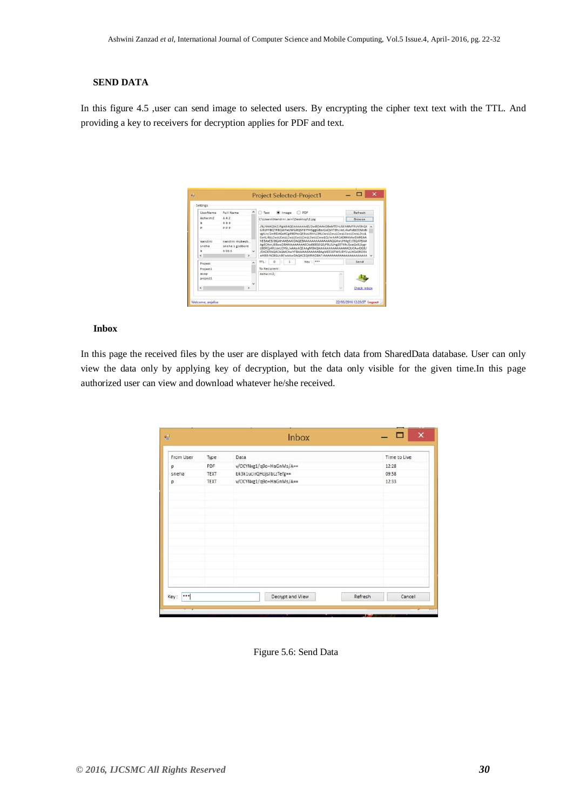# **SEND DATA**

In this figure 4.5 ,user can send image to selected users. By encrypting the cipher text text with the TTL. And providing a key to receivers for decryption applies for PDF and text.

| UserName            | Full Name                                 |           | PDF<br>Text<br>Image<br>⊙                                                                                                                                                                                                                     | Refresh |
|---------------------|-------------------------------------------|-----------|-----------------------------------------------------------------------------------------------------------------------------------------------------------------------------------------------------------------------------------------------|---------|
| Ashwini7            | A A7                                      |           | C:\Users\Nandini Jain\Desktop\2.jpg                                                                                                                                                                                                           | Browse  |
| $\alpha$            | 888                                       |           | /9i/4AAQSkZJRgABAQEAAAAAAAD/2wBDAAkGBxMTEhUSEhMVFRUVEhQX<br>                                                                                                                                                                                  |         |
| nandini<br>sneha    | nandini mukesh<br>sneha s godbole<br>absc |           | CwtLi8sLCwsLCwsLCwsLCwsLCwsLCwsLCwwLCz/wAARCADMAMwDAREAA<br>hEBAxEB/8QAHAABAAIDAQEBAAAAAAAAAAAAAAQGAwUHAgEI/8QAPBAA<br>AgECAwUEBwcDBAMAAAAAAAECAxEEBSEGEjFBUSJhgZETMkJScaGxB2Jygr<br>LB0RQj4RUzktJDY6L/xAAbAQEAAgMBAQAAAAAAAAAAAAAAAQUCAwQGB/ |         |
|                     |                                           | v         |                                                                                                                                                                                                                                               |         |
| $\overline{a}$<br>e | s                                         |           | /EADERAQACAQMCAwYFBAMAAAAAAABAgMEESEFMRJBYSIVUXGx0ROBk<br>aHBBiNC8GLh8f/aAAwDAQACEQMRAD8A7iAAAAAAAAAAAAAAAAAAAAAA v                                                                                                                           |         |
| Project             |                                           | $\lambda$ | $\Omega$<br>$Key:***$<br>TTL:<br>$\mathbf{I}$                                                                                                                                                                                                 | Send    |
| Project1            |                                           |           | To Recipient:                                                                                                                                                                                                                                 |         |
| 8580                |                                           |           | AshwiniZ:                                                                                                                                                                                                                                     |         |
| project1            |                                           |           |                                                                                                                                                                                                                                               |         |
|                     |                                           | u         |                                                                                                                                                                                                                                               |         |

## **Inbox**

In this page the received files by the user are displayed with fetch data from SharedData database. User can only view the data only by applying key of decryption, but the data only visible for the given time.In this page authorized user can view and download whatever he/she received.

| From User | Type        | Data                     | Time to Live |
|-----------|-------------|--------------------------|--------------|
| p         | PDF         | v/OCYNxg1/q9o+HaGnMs/A== | 12:28        |
| sneha     | <b>TEXT</b> | bk3k1ucirQHojsIbLzTefg== | 09:58        |
| p         | TEXT        | v/OCYNxg1/q9o+HaGnMs/A== | 12:33        |
|           |             |                          |              |
|           |             |                          |              |
|           |             |                          |              |
|           |             |                          |              |
|           |             |                          |              |
|           |             |                          |              |
|           |             |                          |              |
|           |             |                          |              |
|           |             |                          |              |
|           |             |                          |              |

Figure 5.6: Send Data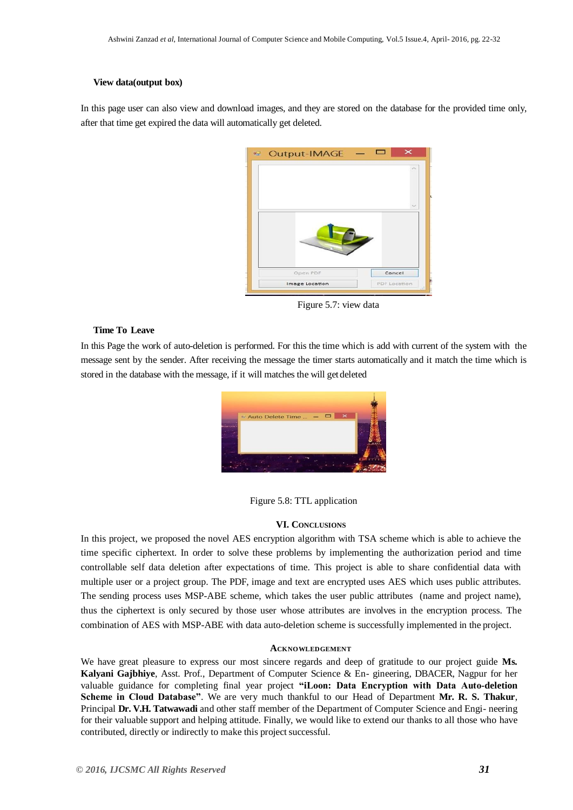### **View data(output box)**

In this page user can also view and download images, and they are stored on the database for the provided time only, after that time get expired the data will automatically get deleted.

| $\sim$ |
|--------|
|        |
|        |
|        |

Figure 5.7: view data

## **Time To Leave**

In this Page the work of auto-deletion is performed. For this the time which is add with current of the system with the message sent by the sender. After receiving the message the timer starts automatically and it match the time which is stored in the database with the message, if it will matches the will get deleted



Figure 5.8: TTL application

# **VI. CONCLUSIONS**

In this project, we proposed the novel AES encryption algorithm with TSA scheme which is able to achieve the time specific ciphertext. In order to solve these problems by implementing the authorization period and time controllable self data deletion after expectations of time. This project is able to share confidential data with multiple user or a project group. The PDF, image and text are encrypted uses AES which uses public attributes. The sending process uses MSP-ABE scheme, which takes the user public attributes (name and project name), thus the ciphertext is only secured by those user whose attributes are involves in the encryption process. The combination of AES with MSP-ABE with data auto-deletion scheme is successfully implemented in the project.

#### **ACKNOWLEDGEMENT**

We have great pleasure to express our most sincere regards and deep of gratitude to our project guide **Ms. Kalyani Gajbhiye**, Asst. Prof., Department of Computer Science & En- gineering, DBACER, Nagpur for her valuable guidance for completing final year project **"iLoon: Data Encryption with Data Auto-deletion Scheme in Cloud Database"**. We are very much thankful to our Head of Department **Mr. R. S. Thakur**, Principal **Dr. V.H. Tatwawadi** and other staff member of the Department of Computer Science and Engi- neering for their valuable support and helping attitude. Finally, we would like to extend our thanks to all those who have contributed, directly or indirectly to make this project successful.